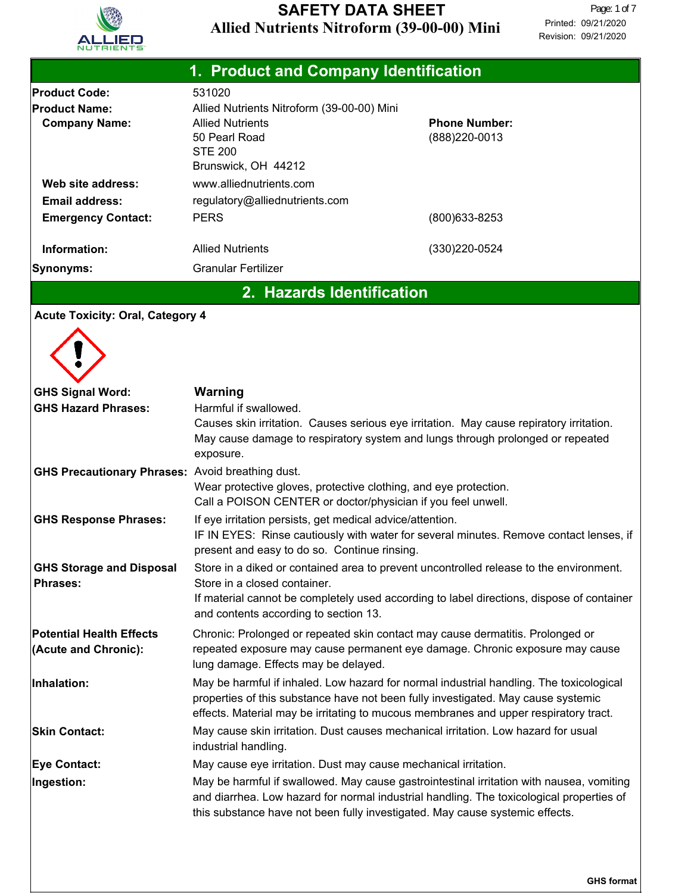

| 1. Product and Company Identification                                                     |                                                                                                                                                                                                                                                                      |                                        |  |  |
|-------------------------------------------------------------------------------------------|----------------------------------------------------------------------------------------------------------------------------------------------------------------------------------------------------------------------------------------------------------------------|----------------------------------------|--|--|
| <b>Product Code:</b><br><b>Product Name:</b><br><b>Company Name:</b><br>Web site address: | 531020<br>Allied Nutrients Nitroform (39-00-00) Mini<br><b>Allied Nutrients</b><br>50 Pearl Road<br><b>STE 200</b><br>Brunswick, OH 44212<br>www.alliednutrients.com                                                                                                 | <b>Phone Number:</b><br>(888) 220-0013 |  |  |
| <b>Email address:</b><br><b>Emergency Contact:</b>                                        | regulatory@alliednutrients.com<br><b>PERS</b>                                                                                                                                                                                                                        | (800) 633-8253                         |  |  |
| Information:                                                                              | <b>Allied Nutrients</b>                                                                                                                                                                                                                                              | (330) 220-0524                         |  |  |
| Synonyms:                                                                                 | <b>Granular Fertilizer</b>                                                                                                                                                                                                                                           |                                        |  |  |
|                                                                                           | 2. Hazards Identification                                                                                                                                                                                                                                            |                                        |  |  |
| <b>Acute Toxicity: Oral, Category 4</b>                                                   |                                                                                                                                                                                                                                                                      |                                        |  |  |
|                                                                                           |                                                                                                                                                                                                                                                                      |                                        |  |  |
| <b>GHS Signal Word:</b><br><b>GHS Hazard Phrases:</b>                                     | Warning<br>Harmful if swallowed.<br>Causes skin irritation. Causes serious eye irritation. May cause repiratory irritation.<br>May cause damage to respiratory system and lungs through prolonged or repeated<br>exposure.                                           |                                        |  |  |
| <b>GHS Precautionary Phrases: Avoid breathing dust.</b>                                   | Wear protective gloves, protective clothing, and eye protection.<br>Call a POISON CENTER or doctor/physician if you feel unwell.                                                                                                                                     |                                        |  |  |
| <b>GHS Response Phrases:</b>                                                              | If eye irritation persists, get medical advice/attention.<br>IF IN EYES: Rinse cautiously with water for several minutes. Remove contact lenses, if<br>present and easy to do so. Continue rinsing.                                                                  |                                        |  |  |
| <b>GHS Storage and Disposal</b><br><b>Phrases:</b>                                        | Store in a diked or contained area to prevent uncontrolled release to the environment.<br>Store in a closed container.<br>If material cannot be completely used according to label directions, dispose of container<br>and contents according to section 13.         |                                        |  |  |
| <b>Potential Health Effects</b><br>(Acute and Chronic):                                   | Chronic: Prolonged or repeated skin contact may cause dermatitis. Prolonged or<br>repeated exposure may cause permanent eye damage. Chronic exposure may cause<br>lung damage. Effects may be delayed.                                                               |                                        |  |  |
| Inhalation:                                                                               | May be harmful if inhaled. Low hazard for normal industrial handling. The toxicological<br>properties of this substance have not been fully investigated. May cause systemic<br>effects. Material may be irritating to mucous membranes and upper respiratory tract. |                                        |  |  |
| <b>Skin Contact:</b>                                                                      | May cause skin irritation. Dust causes mechanical irritation. Low hazard for usual<br>industrial handling.                                                                                                                                                           |                                        |  |  |
| <b>Eye Contact:</b>                                                                       | May cause eye irritation. Dust may cause mechanical irritation.                                                                                                                                                                                                      |                                        |  |  |
| Ingestion:                                                                                | May be harmful if swallowed. May cause gastrointestinal irritation with nausea, vomiting<br>and diarrhea. Low hazard for normal industrial handling. The toxicological properties of<br>this substance have not been fully investigated. May cause systemic effects. |                                        |  |  |

**GHS format**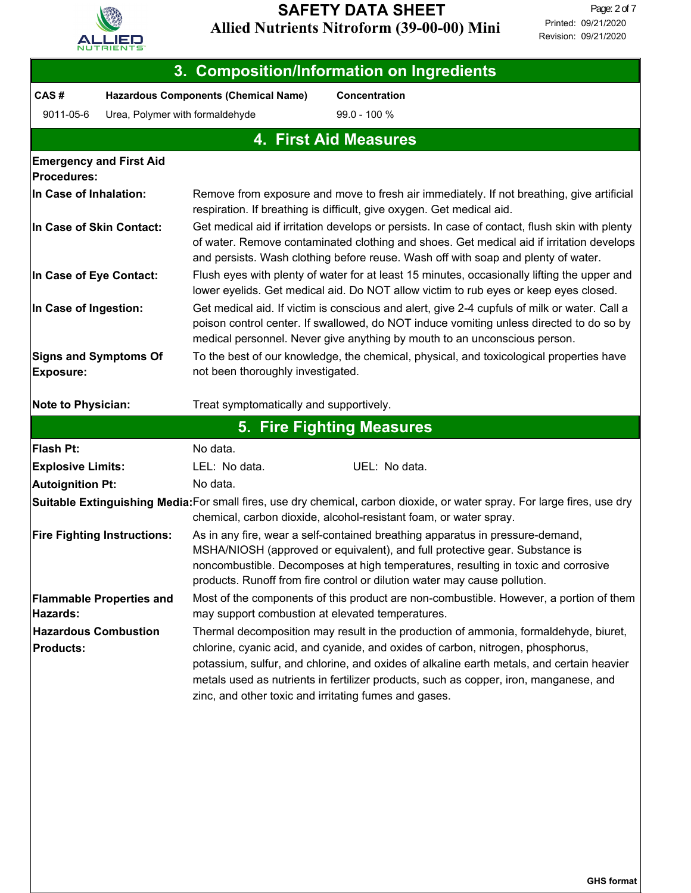

| 3. Composition/Information on Ingredients                                                                                                                                                                                                                                                                                                                                                                                                                                 |                                    |                                                                                                                                                                                                                                                                                                                                |                                                                                                                                                                                               |  |  |  |
|---------------------------------------------------------------------------------------------------------------------------------------------------------------------------------------------------------------------------------------------------------------------------------------------------------------------------------------------------------------------------------------------------------------------------------------------------------------------------|------------------------------------|--------------------------------------------------------------------------------------------------------------------------------------------------------------------------------------------------------------------------------------------------------------------------------------------------------------------------------|-----------------------------------------------------------------------------------------------------------------------------------------------------------------------------------------------|--|--|--|
| CAS#                                                                                                                                                                                                                                                                                                                                                                                                                                                                      |                                    | <b>Hazardous Components (Chemical Name)</b>                                                                                                                                                                                                                                                                                    | <b>Concentration</b>                                                                                                                                                                          |  |  |  |
| 9011-05-6                                                                                                                                                                                                                                                                                                                                                                                                                                                                 | Urea, Polymer with formaldehyde    | 99.0 - 100 %                                                                                                                                                                                                                                                                                                                   |                                                                                                                                                                                               |  |  |  |
|                                                                                                                                                                                                                                                                                                                                                                                                                                                                           | <b>4. First Aid Measures</b>       |                                                                                                                                                                                                                                                                                                                                |                                                                                                                                                                                               |  |  |  |
| <b>Procedures:</b>                                                                                                                                                                                                                                                                                                                                                                                                                                                        | <b>Emergency and First Aid</b>     |                                                                                                                                                                                                                                                                                                                                |                                                                                                                                                                                               |  |  |  |
| In Case of Inhalation:                                                                                                                                                                                                                                                                                                                                                                                                                                                    |                                    | Remove from exposure and move to fresh air immediately. If not breathing, give artificial<br>respiration. If breathing is difficult, give oxygen. Get medical aid.                                                                                                                                                             |                                                                                                                                                                                               |  |  |  |
| In Case of Skin Contact:                                                                                                                                                                                                                                                                                                                                                                                                                                                  |                                    | Get medical aid if irritation develops or persists. In case of contact, flush skin with plenty<br>of water. Remove contaminated clothing and shoes. Get medical aid if irritation develops<br>and persists. Wash clothing before reuse. Wash off with soap and plenty of water.                                                |                                                                                                                                                                                               |  |  |  |
| In Case of Eye Contact:                                                                                                                                                                                                                                                                                                                                                                                                                                                   |                                    |                                                                                                                                                                                                                                                                                                                                | Flush eyes with plenty of water for at least 15 minutes, occasionally lifting the upper and<br>lower eyelids. Get medical aid. Do NOT allow victim to rub eyes or keep eyes closed.           |  |  |  |
| In Case of Ingestion:                                                                                                                                                                                                                                                                                                                                                                                                                                                     |                                    | Get medical aid. If victim is conscious and alert, give 2-4 cupfuls of milk or water. Call a<br>poison control center. If swallowed, do NOT induce vomiting unless directed to do so by<br>medical personnel. Never give anything by mouth to an unconscious person.                                                           |                                                                                                                                                                                               |  |  |  |
| <b>Signs and Symptoms Of</b><br><b>Exposure:</b>                                                                                                                                                                                                                                                                                                                                                                                                                          |                                    | To the best of our knowledge, the chemical, physical, and toxicological properties have<br>not been thoroughly investigated.                                                                                                                                                                                                   |                                                                                                                                                                                               |  |  |  |
| <b>Note to Physician:</b>                                                                                                                                                                                                                                                                                                                                                                                                                                                 |                                    | Treat symptomatically and supportively.                                                                                                                                                                                                                                                                                        |                                                                                                                                                                                               |  |  |  |
|                                                                                                                                                                                                                                                                                                                                                                                                                                                                           |                                    |                                                                                                                                                                                                                                                                                                                                | 5. Fire Fighting Measures                                                                                                                                                                     |  |  |  |
| Flash Pt:                                                                                                                                                                                                                                                                                                                                                                                                                                                                 |                                    | No data.                                                                                                                                                                                                                                                                                                                       |                                                                                                                                                                                               |  |  |  |
| <b>Explosive Limits:</b>                                                                                                                                                                                                                                                                                                                                                                                                                                                  |                                    | LEL: No data.                                                                                                                                                                                                                                                                                                                  | UEL: No data.                                                                                                                                                                                 |  |  |  |
| <b>Autoignition Pt:</b>                                                                                                                                                                                                                                                                                                                                                                                                                                                   |                                    | No data.                                                                                                                                                                                                                                                                                                                       |                                                                                                                                                                                               |  |  |  |
|                                                                                                                                                                                                                                                                                                                                                                                                                                                                           |                                    |                                                                                                                                                                                                                                                                                                                                | Suitable Extinguishing Media:For small fires, use dry chemical, carbon dioxide, or water spray. For large fires, use dry<br>chemical, carbon dioxide, alcohol-resistant foam, or water spray. |  |  |  |
|                                                                                                                                                                                                                                                                                                                                                                                                                                                                           | <b>Fire Fighting Instructions:</b> | As in any fire, wear a self-contained breathing apparatus in pressure-demand,<br>MSHA/NIOSH (approved or equivalent), and full protective gear. Substance is<br>noncombustible. Decomposes at high temperatures, resulting in toxic and corrosive<br>products. Runoff from fire control or dilution water may cause pollution. |                                                                                                                                                                                               |  |  |  |
| Hazards:                                                                                                                                                                                                                                                                                                                                                                                                                                                                  | <b>Flammable Properties and</b>    | may support combustion at elevated temperatures.                                                                                                                                                                                                                                                                               | Most of the components of this product are non-combustible. However, a portion of them                                                                                                        |  |  |  |
| <b>Hazardous Combustion</b><br>Thermal decomposition may result in the production of ammonia, formaldehyde, biuret,<br>chlorine, cyanic acid, and cyanide, and oxides of carbon, nitrogen, phosphorus,<br><b>Products:</b><br>potassium, sulfur, and chlorine, and oxides of alkaline earth metals, and certain heavier<br>metals used as nutrients in fertilizer products, such as copper, iron, manganese, and<br>zinc, and other toxic and irritating fumes and gases. |                                    |                                                                                                                                                                                                                                                                                                                                |                                                                                                                                                                                               |  |  |  |
|                                                                                                                                                                                                                                                                                                                                                                                                                                                                           |                                    |                                                                                                                                                                                                                                                                                                                                |                                                                                                                                                                                               |  |  |  |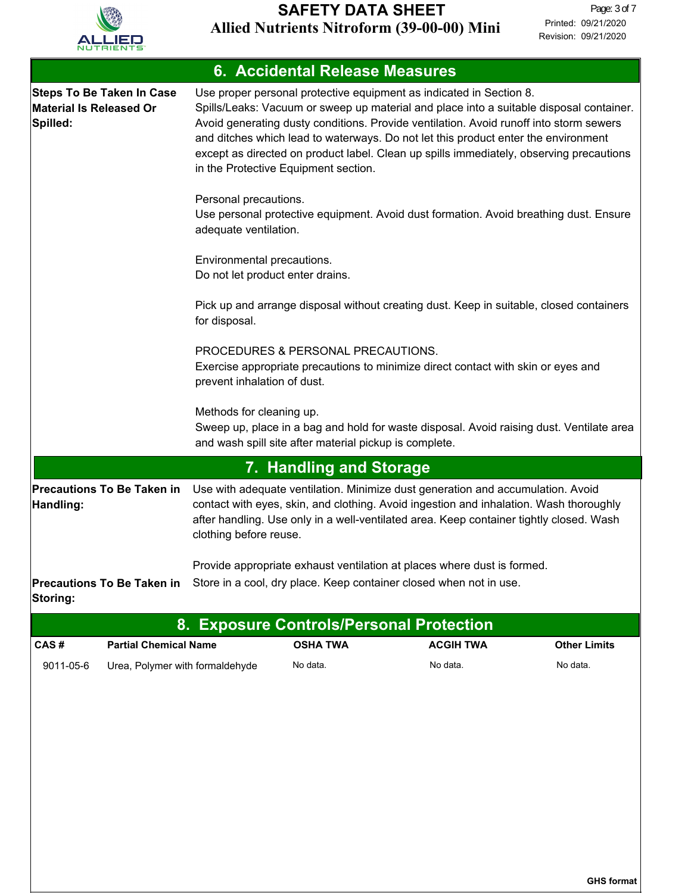

| 6. Accidental Release Measures                                                 |                                                                                                                                                                                                                                                                                                                                                                                                                                                                                   |  |  |  |
|--------------------------------------------------------------------------------|-----------------------------------------------------------------------------------------------------------------------------------------------------------------------------------------------------------------------------------------------------------------------------------------------------------------------------------------------------------------------------------------------------------------------------------------------------------------------------------|--|--|--|
| <b>Steps To Be Taken In Case</b><br><b>Material Is Released Or</b><br>Spilled: | Use proper personal protective equipment as indicated in Section 8.<br>Spills/Leaks: Vacuum or sweep up material and place into a suitable disposal container.<br>Avoid generating dusty conditions. Provide ventilation. Avoid runoff into storm sewers<br>and ditches which lead to waterways. Do not let this product enter the environment<br>except as directed on product label. Clean up spills immediately, observing precautions<br>in the Protective Equipment section. |  |  |  |
|                                                                                | Personal precautions.<br>Use personal protective equipment. Avoid dust formation. Avoid breathing dust. Ensure<br>adequate ventilation.                                                                                                                                                                                                                                                                                                                                           |  |  |  |
|                                                                                | Environmental precautions.<br>Do not let product enter drains.                                                                                                                                                                                                                                                                                                                                                                                                                    |  |  |  |
|                                                                                | Pick up and arrange disposal without creating dust. Keep in suitable, closed containers<br>for disposal.                                                                                                                                                                                                                                                                                                                                                                          |  |  |  |
|                                                                                | PROCEDURES & PERSONAL PRECAUTIONS.<br>Exercise appropriate precautions to minimize direct contact with skin or eyes and<br>prevent inhalation of dust.                                                                                                                                                                                                                                                                                                                            |  |  |  |
|                                                                                | Methods for cleaning up.<br>Sweep up, place in a bag and hold for waste disposal. Avoid raising dust. Ventilate area<br>and wash spill site after material pickup is complete.                                                                                                                                                                                                                                                                                                    |  |  |  |
|                                                                                | 7. Handling and Storage                                                                                                                                                                                                                                                                                                                                                                                                                                                           |  |  |  |
| <b>Precautions To Be Taken in</b><br>Handling:                                 | Use with adequate ventilation. Minimize dust generation and accumulation. Avoid<br>contact with eyes, skin, and clothing. Avoid ingestion and inhalation. Wash thoroughly<br>after handling. Use only in a well-ventilated area. Keep container tightly closed. Wash<br>clothing before reuse.                                                                                                                                                                                    |  |  |  |
| <b>Precautions To Be Taken in</b><br>Storing:                                  | Provide appropriate exhaust ventilation at places where dust is formed.<br>Store in a cool, dry place. Keep container closed when not in use.                                                                                                                                                                                                                                                                                                                                     |  |  |  |

| 8. Exposure Controls/Personal Protection \ |                                 |                 |                  |                     |
|--------------------------------------------|---------------------------------|-----------------|------------------|---------------------|
| CAS#                                       | <b>Partial Chemical Name</b>    | <b>OSHA TWA</b> | <b>ACGIH TWA</b> | <b>Other Limits</b> |
| 9011-05-6                                  | Urea, Polymer with formaldehyde | No data.        | No data.         | No data.            |

**GHS format**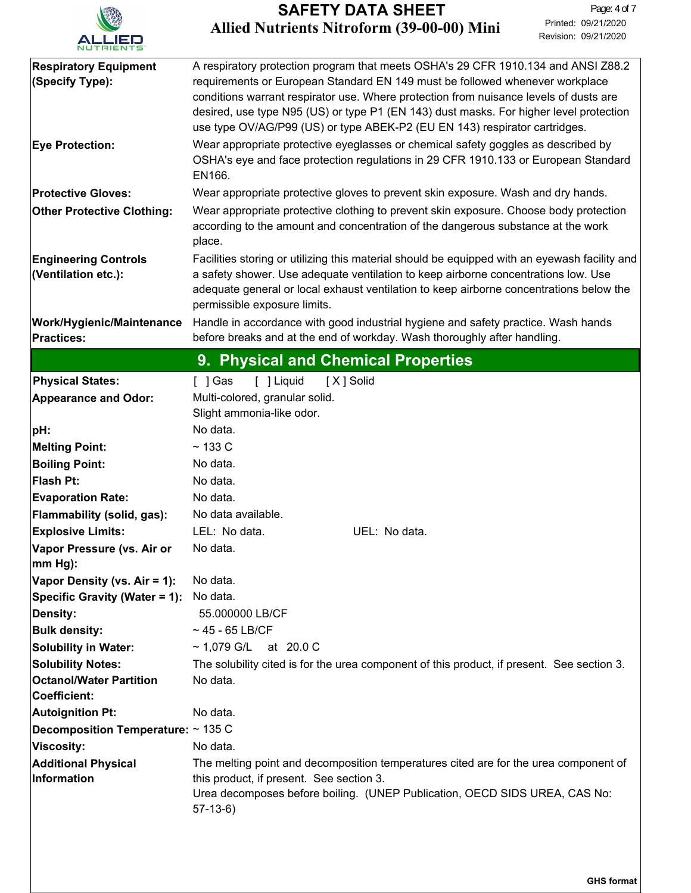

| <b>Respiratory Equipment</b><br>(Specify Type):         | A respiratory protection program that meets OSHA's 29 CFR 1910.134 and ANSI Z88.2<br>requirements or European Standard EN 149 must be followed whenever workplace<br>conditions warrant respirator use. Where protection from nuisance levels of dusts are<br>desired, use type N95 (US) or type P1 (EN 143) dust masks. For higher level protection<br>use type OV/AG/P99 (US) or type ABEK-P2 (EU EN 143) respirator cartridges. |  |  |  |
|---------------------------------------------------------|------------------------------------------------------------------------------------------------------------------------------------------------------------------------------------------------------------------------------------------------------------------------------------------------------------------------------------------------------------------------------------------------------------------------------------|--|--|--|
| <b>Eye Protection:</b>                                  | Wear appropriate protective eyeglasses or chemical safety goggles as described by<br>OSHA's eye and face protection regulations in 29 CFR 1910.133 or European Standard<br>EN166.                                                                                                                                                                                                                                                  |  |  |  |
| <b>Protective Gloves:</b>                               | Wear appropriate protective gloves to prevent skin exposure. Wash and dry hands.                                                                                                                                                                                                                                                                                                                                                   |  |  |  |
| <b>Other Protective Clothing:</b>                       | Wear appropriate protective clothing to prevent skin exposure. Choose body protection<br>according to the amount and concentration of the dangerous substance at the work<br>place.                                                                                                                                                                                                                                                |  |  |  |
| <b>Engineering Controls</b><br>(Ventilation etc.):      | Facilities storing or utilizing this material should be equipped with an eyewash facility and<br>a safety shower. Use adequate ventilation to keep airborne concentrations low. Use<br>adequate general or local exhaust ventilation to keep airborne concentrations below the<br>permissible exposure limits.                                                                                                                     |  |  |  |
| <b>Work/Hygienic/Maintenance</b><br><b>Practices:</b>   | Handle in accordance with good industrial hygiene and safety practice. Wash hands<br>before breaks and at the end of workday. Wash thoroughly after handling.                                                                                                                                                                                                                                                                      |  |  |  |
|                                                         | 9. Physical and Chemical Properties                                                                                                                                                                                                                                                                                                                                                                                                |  |  |  |
| <b>Physical States:</b>                                 | $[$ ] Gas<br>[ ] Liquid<br>[X] Solid                                                                                                                                                                                                                                                                                                                                                                                               |  |  |  |
| <b>Appearance and Odor:</b>                             | Multi-colored, granular solid.<br>Slight ammonia-like odor.                                                                                                                                                                                                                                                                                                                                                                        |  |  |  |
| pH:                                                     | No data.                                                                                                                                                                                                                                                                                                                                                                                                                           |  |  |  |
| <b>Melting Point:</b>                                   | $~133$ C                                                                                                                                                                                                                                                                                                                                                                                                                           |  |  |  |
| <b>Boiling Point:</b>                                   | No data.                                                                                                                                                                                                                                                                                                                                                                                                                           |  |  |  |
| Flash Pt:                                               | No data.                                                                                                                                                                                                                                                                                                                                                                                                                           |  |  |  |
| <b>Evaporation Rate:</b>                                | No data.                                                                                                                                                                                                                                                                                                                                                                                                                           |  |  |  |
| Flammability (solid, gas):                              | No data available.                                                                                                                                                                                                                                                                                                                                                                                                                 |  |  |  |
| <b>Explosive Limits:</b>                                | LEL: No data.<br>UEL: No data.                                                                                                                                                                                                                                                                                                                                                                                                     |  |  |  |
| Vapor Pressure (vs. Air or<br>$ mm Hg$ :                | No data.                                                                                                                                                                                                                                                                                                                                                                                                                           |  |  |  |
| Vapor Density (vs. Air = 1):                            | No data.                                                                                                                                                                                                                                                                                                                                                                                                                           |  |  |  |
| Specific Gravity (Water = 1):                           | No data.                                                                                                                                                                                                                                                                                                                                                                                                                           |  |  |  |
| Density:                                                | 55.000000 LB/CF                                                                                                                                                                                                                                                                                                                                                                                                                    |  |  |  |
| <b>Bulk density:</b>                                    | $~1$ 45 - 65 LB/CF                                                                                                                                                                                                                                                                                                                                                                                                                 |  |  |  |
| <b>Solubility in Water:</b><br><b>Solubility Notes:</b> | ~ 1,079 G/L at 20.0 C<br>The solubility cited is for the urea component of this product, if present. See section 3.                                                                                                                                                                                                                                                                                                                |  |  |  |
| <b>Octanol/Water Partition</b><br>Coefficient:          | No data.                                                                                                                                                                                                                                                                                                                                                                                                                           |  |  |  |
| Autoignition Pt:                                        | No data.                                                                                                                                                                                                                                                                                                                                                                                                                           |  |  |  |
| <b>Decomposition Temperature:</b> $\sim$ 135 C          |                                                                                                                                                                                                                                                                                                                                                                                                                                    |  |  |  |
| Viscosity:                                              | No data.                                                                                                                                                                                                                                                                                                                                                                                                                           |  |  |  |
| <b>Additional Physical</b><br>Information               | The melting point and decomposition temperatures cited are for the urea component of<br>this product, if present. See section 3.                                                                                                                                                                                                                                                                                                   |  |  |  |
|                                                         | Urea decomposes before boiling. (UNEP Publication, OECD SIDS UREA, CAS No:<br>$57-13-6$                                                                                                                                                                                                                                                                                                                                            |  |  |  |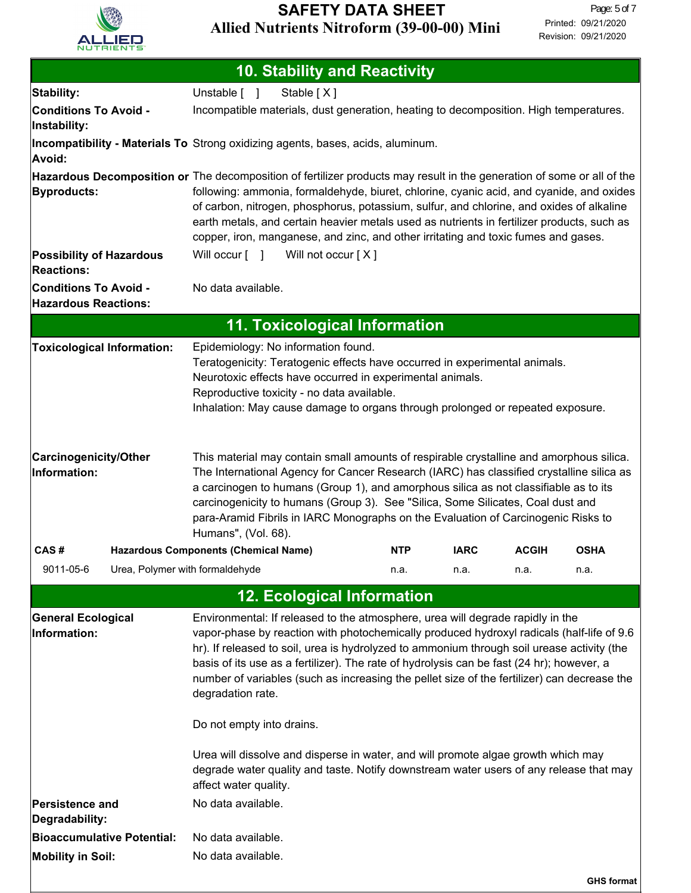

| <b>10. Stability and Reactivity</b>                                                                                                                                                                                                                                                                                                                                                                                                                                                                                                                                                                                                                       |                                                                                                                                                                                                                                                                                                                                                                                                                                                                            |            |             |              |                   |
|-----------------------------------------------------------------------------------------------------------------------------------------------------------------------------------------------------------------------------------------------------------------------------------------------------------------------------------------------------------------------------------------------------------------------------------------------------------------------------------------------------------------------------------------------------------------------------------------------------------------------------------------------------------|----------------------------------------------------------------------------------------------------------------------------------------------------------------------------------------------------------------------------------------------------------------------------------------------------------------------------------------------------------------------------------------------------------------------------------------------------------------------------|------------|-------------|--------------|-------------------|
| Stability:                                                                                                                                                                                                                                                                                                                                                                                                                                                                                                                                                                                                                                                | Stable [X]<br>Unstable [ ]                                                                                                                                                                                                                                                                                                                                                                                                                                                 |            |             |              |                   |
| <b>Conditions To Avoid -</b><br>Instability:                                                                                                                                                                                                                                                                                                                                                                                                                                                                                                                                                                                                              | Incompatible materials, dust generation, heating to decomposition. High temperatures.                                                                                                                                                                                                                                                                                                                                                                                      |            |             |              |                   |
| Avoid:                                                                                                                                                                                                                                                                                                                                                                                                                                                                                                                                                                                                                                                    | Incompatibility - Materials To Strong oxidizing agents, bases, acids, aluminum.                                                                                                                                                                                                                                                                                                                                                                                            |            |             |              |                   |
|                                                                                                                                                                                                                                                                                                                                                                                                                                                                                                                                                                                                                                                           | Hazardous Decomposition or The decomposition of fertilizer products may result in the generation of some or all of the                                                                                                                                                                                                                                                                                                                                                     |            |             |              |                   |
| <b>Byproducts:</b>                                                                                                                                                                                                                                                                                                                                                                                                                                                                                                                                                                                                                                        | following: ammonia, formaldehyde, biuret, chlorine, cyanic acid, and cyanide, and oxides<br>of carbon, nitrogen, phosphorus, potassium, sulfur, and chlorine, and oxides of alkaline<br>earth metals, and certain heavier metals used as nutrients in fertilizer products, such as<br>copper, iron, manganese, and zinc, and other irritating and toxic fumes and gases.                                                                                                   |            |             |              |                   |
| <b>Possibility of Hazardous</b>                                                                                                                                                                                                                                                                                                                                                                                                                                                                                                                                                                                                                           | Will occur [ ] Will not occur [X]                                                                                                                                                                                                                                                                                                                                                                                                                                          |            |             |              |                   |
| <b>Reactions:</b><br><b>Conditions To Avoid -</b><br><b>Hazardous Reactions:</b>                                                                                                                                                                                                                                                                                                                                                                                                                                                                                                                                                                          | No data available.                                                                                                                                                                                                                                                                                                                                                                                                                                                         |            |             |              |                   |
|                                                                                                                                                                                                                                                                                                                                                                                                                                                                                                                                                                                                                                                           | <b>11. Toxicological Information</b>                                                                                                                                                                                                                                                                                                                                                                                                                                       |            |             |              |                   |
| <b>Toxicological Information:</b>                                                                                                                                                                                                                                                                                                                                                                                                                                                                                                                                                                                                                         | Epidemiology: No information found.<br>Teratogenicity: Teratogenic effects have occurred in experimental animals.<br>Neurotoxic effects have occurred in experimental animals.<br>Reproductive toxicity - no data available.<br>Inhalation: May cause damage to organs through prolonged or repeated exposure.                                                                                                                                                             |            |             |              |                   |
| <b>Carcinogenicity/Other</b><br>Information:                                                                                                                                                                                                                                                                                                                                                                                                                                                                                                                                                                                                              | This material may contain small amounts of respirable crystalline and amorphous silica.<br>The International Agency for Cancer Research (IARC) has classified crystalline silica as<br>a carcinogen to humans (Group 1), and amorphous silica as not classifiable as to its<br>carcinogenicity to humans (Group 3). See "Silica, Some Silicates, Coal dust and<br>para-Aramid Fibrils in IARC Monographs on the Evaluation of Carcinogenic Risks to<br>Humans", (Vol. 68). |            |             |              |                   |
| CAS#                                                                                                                                                                                                                                                                                                                                                                                                                                                                                                                                                                                                                                                      | <b>Hazardous Components (Chemical Name)</b>                                                                                                                                                                                                                                                                                                                                                                                                                                | <b>NTP</b> | <b>IARC</b> | <b>ACGIH</b> | <b>OSHA</b>       |
| Urea, Polymer with formaldehyde<br>9011-05-6                                                                                                                                                                                                                                                                                                                                                                                                                                                                                                                                                                                                              |                                                                                                                                                                                                                                                                                                                                                                                                                                                                            | n.a.       | n.a.        | n.a.         | n.a.              |
|                                                                                                                                                                                                                                                                                                                                                                                                                                                                                                                                                                                                                                                           | <b>12. Ecological Information</b>                                                                                                                                                                                                                                                                                                                                                                                                                                          |            |             |              |                   |
| <b>General Ecological</b><br>Environmental: If released to the atmosphere, urea will degrade rapidly in the<br>Information:<br>vapor-phase by reaction with photochemically produced hydroxyl radicals (half-life of 9.6<br>hr). If released to soil, urea is hydrolyzed to ammonium through soil urease activity (the<br>basis of its use as a fertilizer). The rate of hydrolysis can be fast (24 hr); however, a<br>number of variables (such as increasing the pellet size of the fertilizer) can decrease the<br>degradation rate.<br>Do not empty into drains.<br>Urea will dissolve and disperse in water, and will promote algae growth which may |                                                                                                                                                                                                                                                                                                                                                                                                                                                                            |            |             |              |                   |
|                                                                                                                                                                                                                                                                                                                                                                                                                                                                                                                                                                                                                                                           | degrade water quality and taste. Notify downstream water users of any release that may<br>affect water quality.                                                                                                                                                                                                                                                                                                                                                            |            |             |              |                   |
| Persistence and<br>Degradability:                                                                                                                                                                                                                                                                                                                                                                                                                                                                                                                                                                                                                         | No data available.                                                                                                                                                                                                                                                                                                                                                                                                                                                         |            |             |              |                   |
| <b>Bioaccumulative Potential:</b>                                                                                                                                                                                                                                                                                                                                                                                                                                                                                                                                                                                                                         | No data available.                                                                                                                                                                                                                                                                                                                                                                                                                                                         |            |             |              |                   |
| <b>Mobility in Soil:</b>                                                                                                                                                                                                                                                                                                                                                                                                                                                                                                                                                                                                                                  | No data available.                                                                                                                                                                                                                                                                                                                                                                                                                                                         |            |             |              |                   |
|                                                                                                                                                                                                                                                                                                                                                                                                                                                                                                                                                                                                                                                           |                                                                                                                                                                                                                                                                                                                                                                                                                                                                            |            |             |              | <b>GHS format</b> |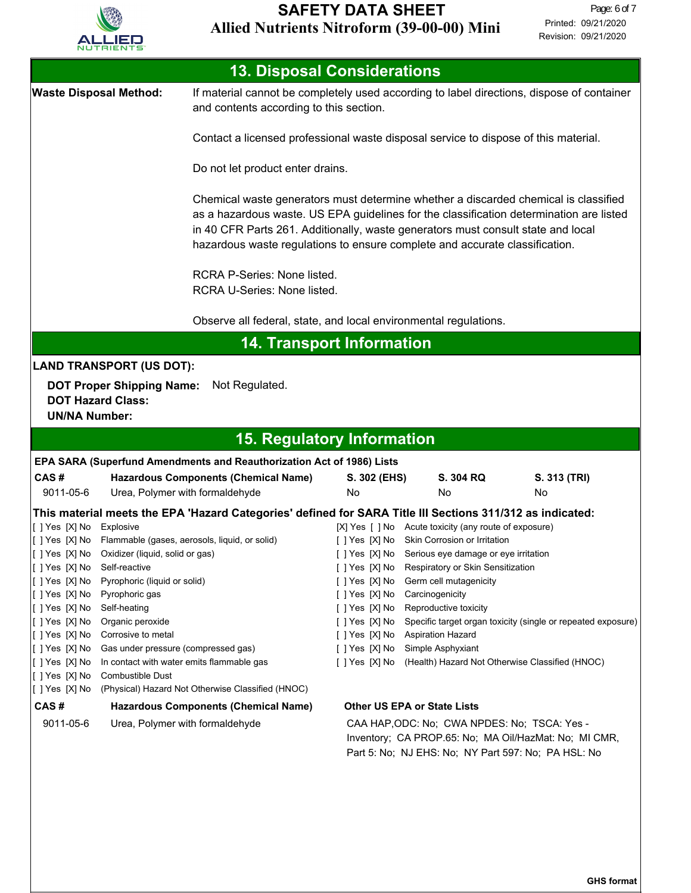

| <b>13. Disposal Considerations</b> |                                                                                     |                                                                                                                                                                                                                                                                                                                                                   |                                                                                           |                                                       |                                                              |  |
|------------------------------------|-------------------------------------------------------------------------------------|---------------------------------------------------------------------------------------------------------------------------------------------------------------------------------------------------------------------------------------------------------------------------------------------------------------------------------------------------|-------------------------------------------------------------------------------------------|-------------------------------------------------------|--------------------------------------------------------------|--|
|                                    | <b>Waste Disposal Method:</b>                                                       | and contents according to this section.                                                                                                                                                                                                                                                                                                           | If material cannot be completely used according to label directions, dispose of container |                                                       |                                                              |  |
|                                    |                                                                                     | Contact a licensed professional waste disposal service to dispose of this material.                                                                                                                                                                                                                                                               |                                                                                           |                                                       |                                                              |  |
|                                    |                                                                                     | Do not let product enter drains.                                                                                                                                                                                                                                                                                                                  |                                                                                           |                                                       |                                                              |  |
|                                    |                                                                                     | Chemical waste generators must determine whether a discarded chemical is classified<br>as a hazardous waste. US EPA guidelines for the classification determination are listed<br>in 40 CFR Parts 261. Additionally, waste generators must consult state and local<br>hazardous waste regulations to ensure complete and accurate classification. |                                                                                           |                                                       |                                                              |  |
|                                    |                                                                                     | RCRA P-Series: None listed.<br>RCRA U-Series: None listed.                                                                                                                                                                                                                                                                                        |                                                                                           |                                                       |                                                              |  |
|                                    |                                                                                     | Observe all federal, state, and local environmental regulations.                                                                                                                                                                                                                                                                                  |                                                                                           |                                                       |                                                              |  |
|                                    |                                                                                     | <b>14. Transport Information</b>                                                                                                                                                                                                                                                                                                                  |                                                                                           |                                                       |                                                              |  |
|                                    | <b>LAND TRANSPORT (US DOT):</b>                                                     |                                                                                                                                                                                                                                                                                                                                                   |                                                                                           |                                                       |                                                              |  |
|                                    | <b>DOT Proper Shipping Name:</b>                                                    | Not Regulated.                                                                                                                                                                                                                                                                                                                                    |                                                                                           |                                                       |                                                              |  |
| <b>UN/NA Number:</b>               | <b>DOT Hazard Class:</b>                                                            |                                                                                                                                                                                                                                                                                                                                                   |                                                                                           |                                                       |                                                              |  |
|                                    |                                                                                     | <b>15. Regulatory Information</b>                                                                                                                                                                                                                                                                                                                 |                                                                                           |                                                       |                                                              |  |
|                                    |                                                                                     | EPA SARA (Superfund Amendments and Reauthorization Act of 1986) Lists                                                                                                                                                                                                                                                                             |                                                                                           |                                                       |                                                              |  |
| CAS#                               |                                                                                     | <b>Hazardous Components (Chemical Name)</b>                                                                                                                                                                                                                                                                                                       | S. 302 (EHS)                                                                              | S. 304 RQ                                             | S. 313 (TRI)                                                 |  |
| 9011-05-6                          |                                                                                     | Urea, Polymer with formaldehyde                                                                                                                                                                                                                                                                                                                   | No                                                                                        | No                                                    | No                                                           |  |
|                                    |                                                                                     | This material meets the EPA 'Hazard Categories' defined for SARA Title III Sections 311/312 as indicated:                                                                                                                                                                                                                                         |                                                                                           |                                                       |                                                              |  |
| [ ] Yes [X] No Explosive           |                                                                                     |                                                                                                                                                                                                                                                                                                                                                   |                                                                                           | [X] Yes [ ] No Acute toxicity (any route of exposure) |                                                              |  |
| []Yes [X] No                       |                                                                                     | Flammable (gases, aerosols, liquid, or solid)                                                                                                                                                                                                                                                                                                     | [ ] Yes [X] No                                                                            | Skin Corrosion or Irritation                          |                                                              |  |
| []Yes [X] No                       | Oxidizer (liquid, solid or gas)                                                     |                                                                                                                                                                                                                                                                                                                                                   |                                                                                           | [ ] Yes [X] No Serious eye damage or eye irritation   |                                                              |  |
|                                    | Self-reactive<br>[ ] Yes [X] No Respiratory or Skin Sensitization<br>[[] Yes [X] No |                                                                                                                                                                                                                                                                                                                                                   |                                                                                           |                                                       |                                                              |  |
| [[] Yes [X] No<br>[ ] Yes [X] No   | Pyrophoric (liquid or solid)<br>Pyrophoric gas                                      |                                                                                                                                                                                                                                                                                                                                                   | [ ] Yes [X] No<br>[]Yes [X] No                                                            | Germ cell mutagenicity<br>Carcinogenicity             |                                                              |  |
| [[] Yes [X] No                     | Self-heating                                                                        |                                                                                                                                                                                                                                                                                                                                                   | []Yes [X] No                                                                              | Reproductive toxicity                                 |                                                              |  |
| [[] Yes [X] No                     | Organic peroxide                                                                    |                                                                                                                                                                                                                                                                                                                                                   | []Yes [X] No                                                                              |                                                       | Specific target organ toxicity (single or repeated exposure) |  |
| [[] Yes [X] No                     | Corrosive to metal                                                                  |                                                                                                                                                                                                                                                                                                                                                   | []Yes [X] No                                                                              | <b>Aspiration Hazard</b>                              |                                                              |  |
| [[] Yes [X] No                     | Gas under pressure (compressed gas)                                                 |                                                                                                                                                                                                                                                                                                                                                   | [ ] Yes [X] No                                                                            | Simple Asphyxiant                                     |                                                              |  |
| [[] Yes [X] No                     |                                                                                     | In contact with water emits flammable gas                                                                                                                                                                                                                                                                                                         | [ ] Yes [X] No                                                                            | (Health) Hazard Not Otherwise Classified (HNOC)       |                                                              |  |
| [[] Yes [X] No<br>[[] Yes [X] No   | Combustible Dust                                                                    | (Physical) Hazard Not Otherwise Classified (HNOC)                                                                                                                                                                                                                                                                                                 |                                                                                           |                                                       |                                                              |  |
| CAS#                               |                                                                                     | <b>Hazardous Components (Chemical Name)</b>                                                                                                                                                                                                                                                                                                       |                                                                                           | <b>Other US EPA or State Lists</b>                    |                                                              |  |
| 9011-05-6                          |                                                                                     | Urea, Polymer with formaldehyde                                                                                                                                                                                                                                                                                                                   |                                                                                           | CAA HAP, ODC: No; CWA NPDES: No; TSCA: Yes -          |                                                              |  |
|                                    |                                                                                     |                                                                                                                                                                                                                                                                                                                                                   |                                                                                           | Inventory; CA PROP.65: No; MA Oil/HazMat: No; MI CMR, |                                                              |  |